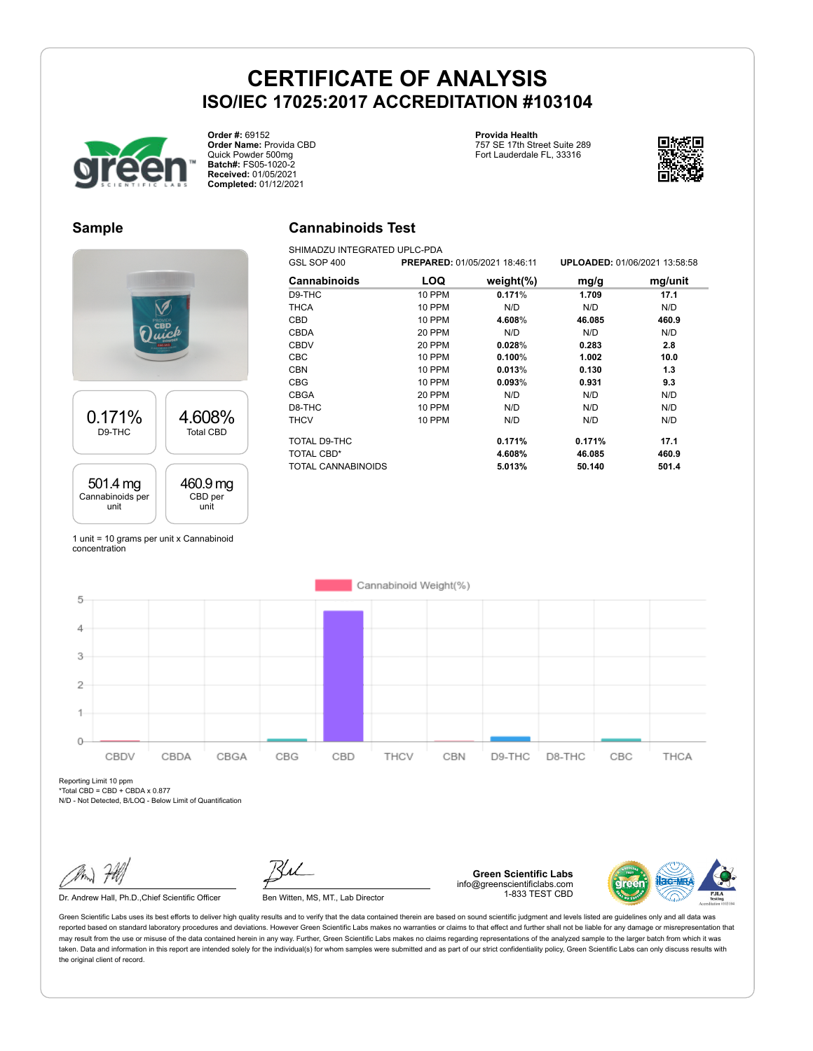**Cannabinoids Test** SHIMADZU INTEGRATED UPLC-PDA



**Order #:** 69152 **Order Name:** Provida CBD Quick Powder 500mg **Batch#:** FS05-1020-2 **Received:** 01/05/2021 **Completed:** 01/12/2021

### **Provida Health**

757 SE 17th Street Suite 289 Fort Lauderdale FL, 33316



#### **Sample**



1 unit = 10 grams per unit x Cannabinoid concentration

| GSL SOP 400   |               |                                      | <b>UPLOADED: 01/06/2021 13:58:58</b> |
|---------------|---------------|--------------------------------------|--------------------------------------|
| LOQ           | weight $(\%)$ | mg/g                                 | mg/unit                              |
| <b>10 PPM</b> | 0.171%        | 1.709                                | 17.1                                 |
| <b>10 PPM</b> | N/D           | N/D                                  | N/D                                  |
| 10 PPM        | 4.608%        | 46.085                               | 460.9                                |
| 20 PPM        | N/D           | N/D                                  | N/D                                  |
| 20 PPM        | 0.028%        | 0.283                                | 2.8                                  |
| 10 PPM        | 0.100%        | 1.002                                | 10.0                                 |
| <b>10 PPM</b> | 0.013%        | 0.130                                | 1.3                                  |
| <b>10 PPM</b> | 0.093%        | 0.931                                | 9.3                                  |
| 20 PPM        | N/D           | N/D                                  | N/D                                  |
| <b>10 PPM</b> | N/D           | N/D                                  | N/D                                  |
| <b>10 PPM</b> | N/D           | N/D                                  | N/D                                  |
|               | 0.171%        | 0.171%                               | 17.1                                 |
|               | 4.608%        | 46.085                               | 460.9                                |
|               | 5.013%        | 50.140                               | 501.4                                |
|               |               | <b>PREPARED: 01/05/2021 18:46:11</b> |                                      |



Reporting Limit 10 ppm \*Total CBD = CBD + CBDA x 0.877

N/D - Not Detected, B/LOQ - Below Limit of Quantification

Dr. Andrew Hall, Ph.D., Chief Scientific Officer Ben Witten, MS, MT., Lab Director

**Green Scientific Labs** info@greenscientificlabs.com 1-833 TEST CBD

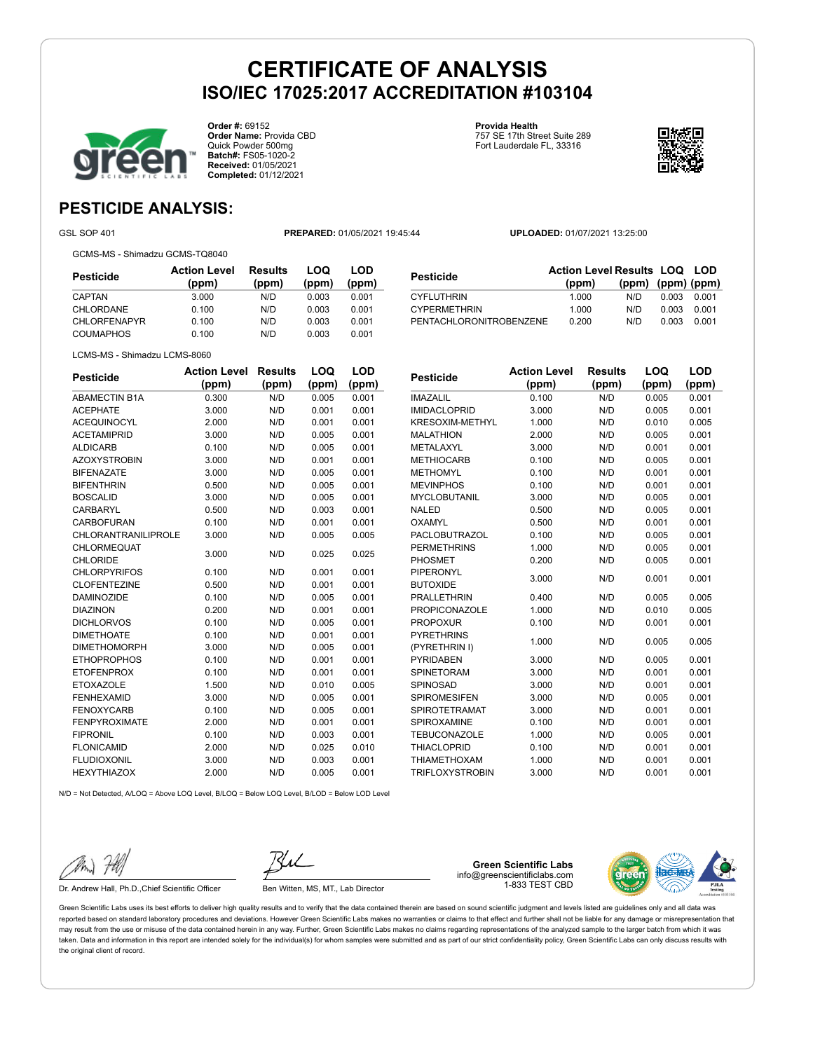

**Order #:** 69152 **Order Name:** Provida CBD Quick Powder 500mg **Batch#:** FS05-1020-2 **Received:** 01/05/2021 **Completed:** 01/12/2021

**Provida Health** 757 SE 17th Street Suite 289 Fort Lauderdale FL, 33316



**LOQ**

**LOD**

## **PESTICIDE ANALYSIS:**

GSL SOP 401 **PREPARED:** 01/05/2021 19:45:44 **UPLOADED:** 01/07/2021 13:25:00

GCMS-MS - Shimadzu GCMS-TQ8040

| Pesticide           | <b>Action Level</b><br>(ppm) | <b>Results</b><br>(ppm) | LOQ<br>(ppm) | LOD<br>(ppm) |
|---------------------|------------------------------|-------------------------|--------------|--------------|
| CAPTAN              | 3.000                        | N/D                     | 0.003        | 0.001        |
| CHLORDANE           | 0.100                        | N/D                     | 0.003        | 0.001        |
| <b>CHLORFENAPYR</b> | 0.100                        | N/D                     | 0.003        | 0.001        |
| <b>COUMAPHOS</b>    | 0.100                        | N/D                     | 0.003        | 0.001        |

| <b>Pesticide</b>        | <b>Action Level Results LOQ LOD</b><br>(ppm) | $(ppm)$ $(ppm)$ $(ppm)$ |       |       |
|-------------------------|----------------------------------------------|-------------------------|-------|-------|
| <b>CYFLUTHRIN</b>       | 1.000                                        | N/D.                    | 0.003 | 0.001 |
| <b>CYPERMETHRIN</b>     | 1.000                                        | N/D                     | 0.003 | 0.001 |
| PENTACHLORONITROBENZENE | 0.200                                        | N/D                     | 0.003 | 0.001 |

|  | LCMS-MS - Shimadzu LCMS-8060 |
|--|------------------------------|
|  |                              |

| <b>Pesticide</b>           | <b>Action Level</b> | <b>Results</b> | LOQ   | LOD   |
|----------------------------|---------------------|----------------|-------|-------|
|                            | (ppm)               | (ppm)          | (ppm) | (ppm) |
| <b>ABAMECTIN B1A</b>       | 0.300               | N/D            | 0.005 | 0.001 |
| <b>ACEPHATE</b>            | 3.000               | N/D            | 0.001 | 0.001 |
| <b>ACEQUINOCYL</b>         | 2.000               | N/D            | 0.001 | 0.001 |
| <b>ACETAMIPRID</b>         | 3.000               | N/D            | 0.005 | 0.001 |
| <b>ALDICARB</b>            | 0.100               | N/D            | 0.005 | 0.001 |
| <b>AZOXYSTROBIN</b>        | 3.000               | N/D            | 0.001 | 0.001 |
| <b>BIFENAZATE</b>          | 3.000               | N/D            | 0.005 | 0.001 |
| <b>BIFENTHRIN</b>          | 0.500               | N/D            | 0.005 | 0.001 |
| <b>BOSCALID</b>            | 3.000               | N/D            | 0.005 | 0.001 |
| CARBARYL                   | 0.500               | N/D            | 0.003 | 0.001 |
| CARBOFURAN                 | 0.100               | N/D            | 0.001 | 0.001 |
| <b>CHLORANTRANILIPROLE</b> | 3.000               | N/D            | 0.005 | 0.005 |
| <b>CHLORMEQUAT</b>         | 3.000               | N/D            | 0.025 | 0.025 |
| <b>CHLORIDE</b>            |                     |                |       |       |
| <b>CHLORPYRIFOS</b>        | 0.100               | N/D            | 0.001 | 0.001 |
| <b>CLOFENTEZINE</b>        | 0.500               | N/D            | 0.001 | 0.001 |
| <b>DAMINOZIDE</b>          | 0.100               | N/D            | 0.005 | 0.001 |
| <b>DIAZINON</b>            | 0.200               | N/D            | 0.001 | 0.001 |
| <b>DICHLORVOS</b>          | 0.100               | N/D            | 0.005 | 0.001 |
| <b>DIMETHOATE</b>          | 0.100               | N/D            | 0.001 | 0.001 |
| <b>DIMETHOMORPH</b>        | 3.000               | N/D            | 0.005 | 0.001 |
| <b>ETHOPROPHOS</b>         | 0.100               | N/D            | 0.001 | 0.001 |
| <b>ETOFENPROX</b>          | 0.100               | N/D            | 0.001 | 0.001 |
| <b>ETOXAZOLE</b>           | 1.500               | N/D            | 0.010 | 0.005 |
| <b>FENHEXAMID</b>          | 3.000               | N/D            | 0.005 | 0.001 |
| <b>FENOXYCARB</b>          | 0.100               | N/D            | 0.005 | 0.001 |
| <b>FENPYROXIMATE</b>       | 2.000               | N/D            | 0.001 | 0.001 |
| <b>FIPRONIL</b>            | 0.100               | N/D            | 0.003 | 0.001 |
| <b>FLONICAMID</b>          | 2.000               | N/D            | 0.025 | 0.010 |
| <b>FLUDIOXONIL</b>         | 3.000               | N/D            | 0.003 | 0.001 |
| <b>HEXYTHIAZOX</b>         | 2.000               | N/D            | 0.005 | 0.001 |

| <b>Pesticide</b>       | <b>Action Level</b> | <b>Results</b> | LOQ   | LOD   |
|------------------------|---------------------|----------------|-------|-------|
|                        | (ppm)               | (ppm)          | (ppm) | (ppm) |
| <b>IMAZALIL</b>        | 0.100               | N/D            | 0.005 | 0.001 |
| <b>IMIDACLOPRID</b>    | 3.000               | N/D            | 0.005 | 0.001 |
| <b>KRESOXIM-METHYL</b> | 1.000               | N/D            | 0.010 | 0.005 |
| <b>MALATHION</b>       | 2.000               | N/D            | 0.005 | 0.001 |
| METALAXYL              | 3.000               | N/D            | 0.001 | 0.001 |
| <b>METHIOCARB</b>      | 0.100               | N/D            | 0.005 | 0.001 |
| <b>METHOMYL</b>        | 0.100               | N/D            | 0.001 | 0.001 |
| <b>MEVINPHOS</b>       | 0.100               | N/D            | 0.001 | 0.001 |
| <b>MYCLOBUTANIL</b>    | 3.000               | N/D            | 0.005 | 0.001 |
| <b>NALED</b>           | 0.500               | N/D            | 0.005 | 0.001 |
| OXAMYL                 | 0.500               | N/D            | 0.001 | 0.001 |
| <b>PACLOBUTRAZOL</b>   | 0.100               | N/D            | 0.005 | 0.001 |
| <b>PERMETHRINS</b>     | 1.000               | N/D            | 0.005 | 0.001 |
| PHOSMET                | 0.200               | N/D            | 0.005 | 0.001 |
| <b>PIPERONYL</b>       | 3.000               | N/D            | 0.001 | 0.001 |
| <b>BUTOXIDE</b>        |                     |                |       |       |
| <b>PRALLETHRIN</b>     | 0.400               | N/D            | 0.005 | 0.005 |
| <b>PROPICONAZOLE</b>   | 1.000               | N/D            | 0.010 | 0.005 |
| <b>PROPOXUR</b>        | 0.100               | N/D            | 0.001 | 0.001 |
| <b>PYRETHRINS</b>      | 1.000               | N/D            | 0.005 | 0.005 |
| (PYRETHRIN I)          |                     |                |       |       |
| <b>PYRIDABEN</b>       | 3.000               | N/D            | 0.005 | 0.001 |
| <b>SPINETORAM</b>      | 3.000               | N/D            | 0.001 | 0.001 |
| SPINOSAD               | 3.000               | N/D            | 0.001 | 0.001 |
| <b>SPIROMESIFEN</b>    | 3.000               | N/D            | 0.005 | 0.001 |
| <b>SPIROTETRAMAT</b>   | 3.000               | N/D            | 0.001 | 0.001 |
| SPIROXAMINE            | 0.100               | N/D            | 0.001 | 0.001 |
| <b>TEBUCONAZOLE</b>    | 1.000               | N/D            | 0.005 | 0.001 |
| THIACI OPRID           | 0.100               | N/D            | 0.001 | 0.001 |

THIAMETHOXAM 1.000 N/D 0.001 0.001 TRIFLOXYSTROBIN 3.000 N/D 0.001 0.001

 $N/D = N$ ot Detected, A/LOQ = Above LOQ Level, B/LOQ = Below LOQ Level, B/LOD = Below LOD Level

Dr. Andrew Hall, Ph.D., Chief Scientific Officer Ben Witten, MS, MT., Lab Director

**Green Scientific Labs** info@greenscientificlabs.com 1-833 TEST CBD

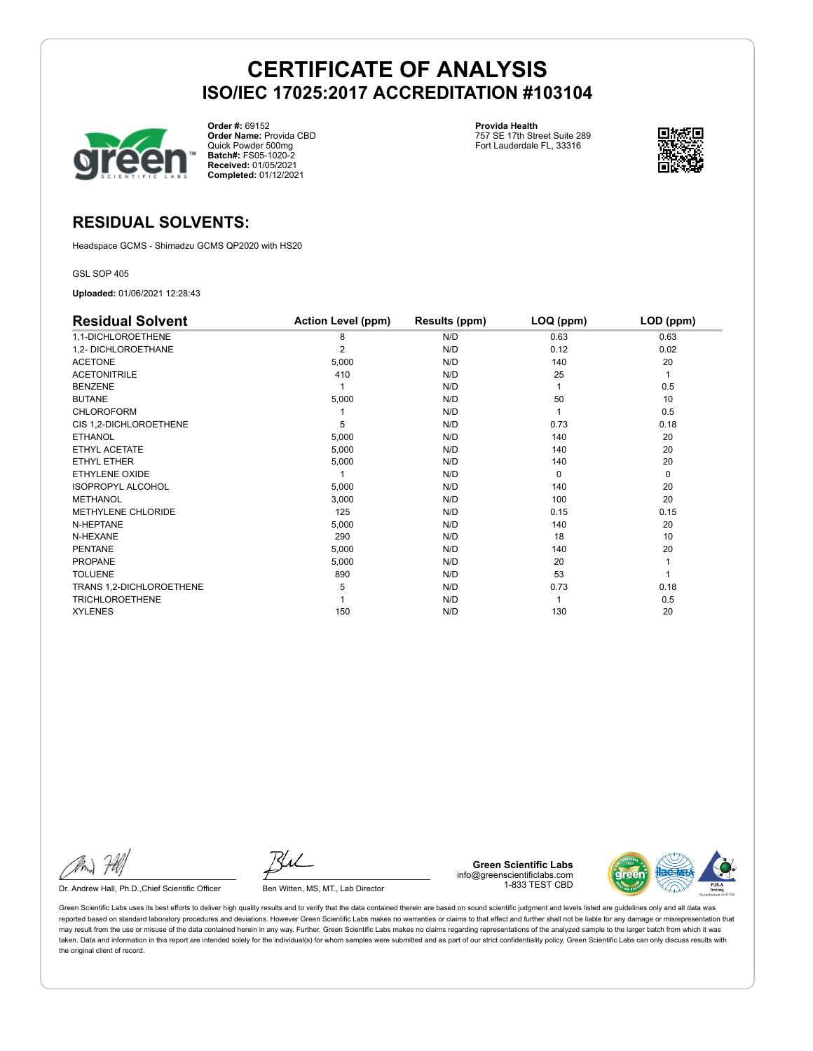

**Order #:** 69152 **Order Name:** Provida CBD Quick Powder 500mg **Batch#:** FS05-1020-2 **Received:** 01/05/2021 **Completed:** 01/12/2021

**Provida Health** 757 SE 17th Street Suite 289 Fort Lauderdale FL, 33316



## **RESIDUAL SOLVENTS:**

Headspace GCMS - Shimadzu GCMS QP2020 with HS20

GSL SOP 405

**Uploaded:** 01/06/2021 12:28:43

| <b>Residual Solvent</b>   | <b>Action Level (ppm)</b> | Results (ppm) | LOQ (ppm) | LOD (ppm) |
|---------------------------|---------------------------|---------------|-----------|-----------|
| 1,1-DICHLOROETHENE        | 8                         | N/D           | 0.63      | 0.63      |
| 1,2- DICHLOROETHANE       | 2                         | N/D           | 0.12      | 0.02      |
| <b>ACETONE</b>            | 5,000                     | N/D           | 140       | 20        |
| <b>ACETONITRILE</b>       | 410                       | N/D           | 25        | 1         |
| <b>BENZENE</b>            |                           | N/D           |           | 0.5       |
| <b>BUTANE</b>             | 5,000                     | N/D           | 50        | 10        |
| <b>CHLOROFORM</b>         |                           | N/D           |           | 0.5       |
| CIS 1,2-DICHLOROETHENE    | 5                         | N/D           | 0.73      | 0.18      |
| <b>ETHANOL</b>            | 5,000                     | N/D           | 140       | 20        |
| ETHYL ACETATE             | 5,000                     | N/D           | 140       | 20        |
| <b>ETHYL ETHER</b>        | 5,000                     | N/D           | 140       | 20        |
| <b>ETHYLENE OXIDE</b>     |                           | N/D           | $\Omega$  | 0         |
| <b>ISOPROPYL ALCOHOL</b>  | 5,000                     | N/D           | 140       | 20        |
| <b>METHANOL</b>           | 3,000                     | N/D           | 100       | 20        |
| <b>METHYLENE CHLORIDE</b> | 125                       | N/D           | 0.15      | 0.15      |
| N-HEPTANE                 | 5,000                     | N/D           | 140       | 20        |
| N-HEXANE                  | 290                       | N/D           | 18        | 10        |
| <b>PENTANE</b>            | 5,000                     | N/D           | 140       | 20        |
| <b>PROPANE</b>            | 5,000                     | N/D           | 20        |           |
| <b>TOLUENE</b>            | 890                       | N/D           | 53        |           |
| TRANS 1,2-DICHLOROETHENE  | 5                         | N/D           | 0.73      | 0.18      |
| <b>TRICHLOROETHENE</b>    |                           | N/D           |           | 0.5       |
| <b>XYLENES</b>            | 150                       | N/D           | 130       | 20        |

Dr. Andrew Hall, Ph.D., Chief Scientific Officer Ben Witten, MS, MT., Lab Director

**Green Scientific Labs** info@greenscientificlabs.com 1-833 TEST CBD

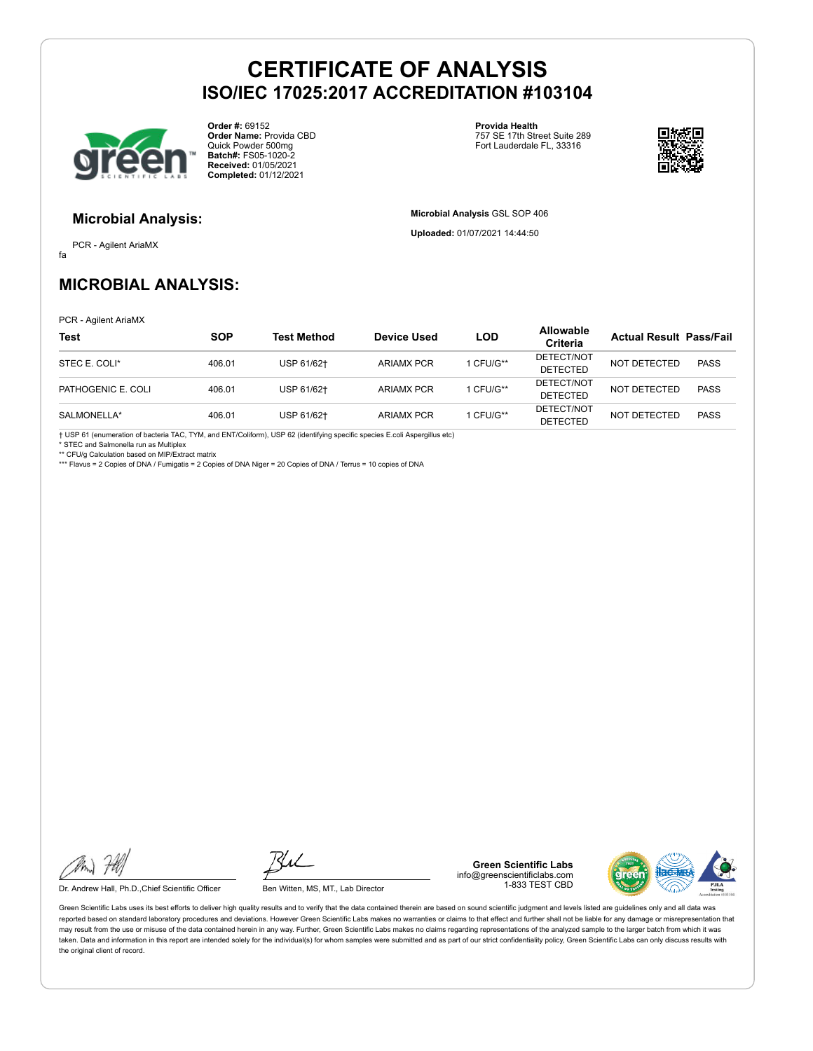

**Order #:** 69152 **Order Name:** Provida CBD Quick Powder 500mg **Batch#:** FS05-1020-2 **Received:** 01/05/2021 **Completed:** 01/12/2021

**Provida Health** 757 SE 17th Street Suite 289 Fort Lauderdale FL, 33316



#### **Microbial Analysis:**

fa PCR - Agilent AriaMX **Microbial Analysis** GSL SOP 406 **Uploaded:** 01/07/2021 14:44:50

## **MICROBIAL ANALYSIS:**

PCR - Agilent AriaMX

| <b>Test</b>        | <b>SOP</b> | <b>Test Method</b> | Device Used       | LOD       | <b>Allowable</b><br>Criteria  | <b>Actual Result Pass/Fail</b> |             |
|--------------------|------------|--------------------|-------------------|-----------|-------------------------------|--------------------------------|-------------|
| STEC E. COLI*      | 406.01     | USP 61/62+         | <b>ARIAMX PCR</b> | 1 CFU/G** | DETECT/NOT<br><b>DETECTED</b> | NOT DETECTED                   | <b>PASS</b> |
| PATHOGENIC E. COLI | 406.01     | USP 61/62+         | <b>ARIAMX PCR</b> | 1 CFU/G** | DETECT/NOT<br><b>DETECTED</b> | NOT DETECTED                   | <b>PASS</b> |
| SALMONELLA*        | 406.01     | USP 61/62+         | <b>ARIAMX PCR</b> | 1 CFU/G** | DETECT/NOT<br><b>DETECTED</b> | <b>NOT DETECTED</b>            | <b>PASS</b> |

† USP 61 (enumeration of bacteria TAC, TYM, and ENT/Coliform), USP 62 (identifying specific species E.coli Aspergillus etc) \* STEC and Salmonella run as Multiplex

\*\* CFU/g Calculation based on MIP/Extract matrix

\*\*\* Flavus = 2 Copies of DNA / Fumigatis = 2 Copies of DNA Niger = 20 Copies of DNA / Terrus = 10 copies of DNA

Dr. Andrew Hall, Ph.D., Chief Scientific Officer Ben Witten, MS, MT., Lab Director

**Green Scientific Labs** info@greenscientificlabs.com 1-833 TEST CBD